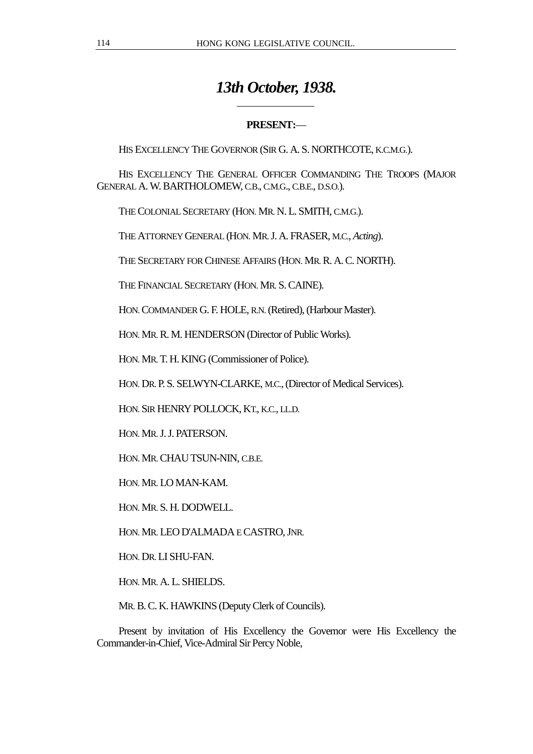# *13th October, 1938.*

# **PRESENT:**—

HIS EXCELLENCY THE GOVERNOR (SIR G. A. S. NORTHCOTE, K.C.M.G.).

HIS EXCELLENCY THE GENERAL OFFICER COMMANDING THE TROOPS (MAJOR GENERAL A. W. BARTHOLOMEW, C.B., C.M.G., C.B.E., D.S.O.).

THE COLONIAL SECRETARY (HON. MR. N. L. SMITH, C.M.G.).

 $\overline{a}$ 

THE ATTORNEY GENERAL (HON. MR. J. A. FRASER, M.C., *Acting*).

THE SECRETARY FOR CHINESE AFFAIRS (HON. MR. R. A. C. NORTH).

THE FINANCIAL SECRETARY (HON. MR. S. CAINE).

HON. COMMANDER G. F. HOLE, R.N. (Retired), (Harbour Master).

HON. MR. R. M. HENDERSON (Director of Public Works).

HON. MR. T. H. KING (Commissioner of Police).

HON. DR. P. S. SELWYN-CLARKE, M.C., (Director of Medical Services).

HON. SIR HENRY POLLOCK, KT., K.C., LL.D.

HON. MR. J. J. PATERSON.

HON. MR. CHAU TSUN-NIN, C.B.E.

HON. MR. LO MAN-KAM.

HON. MR. S. H. DODWELL.

HON. MR. LEO D'ALMADA E CASTRO, JNR.

HON. DR. LI SHU-FAN.

HON. MR. A. L. SHIELDS.

MR. B. C. K. HAWKINS (Deputy Clerk of Councils).

Present by invitation of His Excellency the Governor were His Excellency the Commander-in-Chief, Vice-Admiral Sir Percy Noble,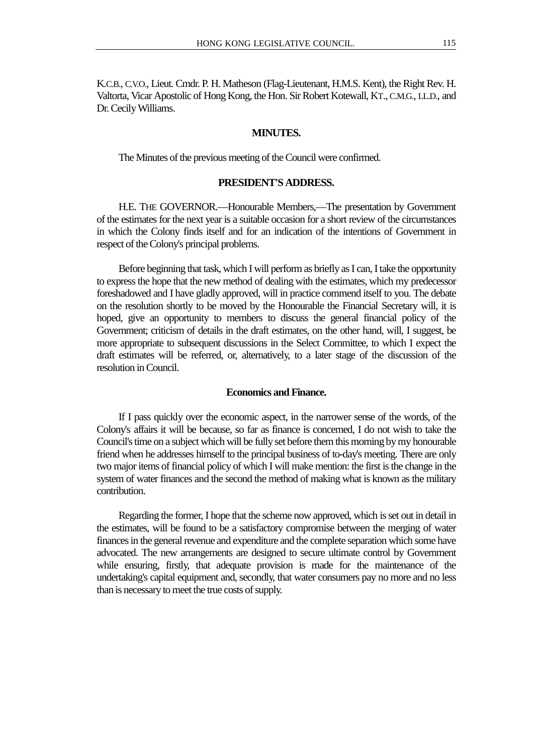K.C.B., C.V.O., Lieut. Cmdr. P. H. Matheson (Flag-Lieutenant, H.M.S. Kent), the Right Rev. H. Valtorta, Vicar Apostolic of Hong Kong, the Hon. Sir Robert Kotewall, KT., C.M.G., LL.D., and Dr. Cecily Williams.

## **MINUTES.**

The Minutes of the previous meeting of the Council were confirmed.

## **PRESIDENT'S ADDRESS.**

H.E. THE GOVERNOR.—Honourable Members,—The presentation by Government of the estimates for the next year is a suitable occasion for a short review of the circumstances in which the Colony finds itself and for an indication of the intentions of Government in respect of the Colony's principal problems.

Before beginning that task, which I will perform as briefly as I can, I take the opportunity to express the hope that the new method of dealing with the estimates, which my predecessor foreshadowed and I have gladly approved, will in practice commend itself to you. The debate on the resolution shortly to be moved by the Honourable the Financial Secretary will, it is hoped, give an opportunity to members to discuss the general financial policy of the Government; criticism of details in the draft estimates, on the other hand, will, I suggest, be more appropriate to subsequent discussions in the Select Committee, to which I expect the draft estimates will be referred, or, alternatively, to a later stage of the discussion of the resolution in Council.

#### **Economics and Finance.**

If I pass quickly over the economic aspect, in the narrower sense of the words, of the Colony's affairs it will be because, so far as finance is concerned, I do not wish to take the Council's time on a subject which will be fully set before them this morning by my honourable friend when he addresses himself to the principal business of to-day's meeting. There are only two major items of financial policy of which I will make mention: the first is the change in the system of water finances and the second the method of making what is known as the military contribution.

Regarding the former, I hope that the scheme now approved, which is set out in detail in the estimates, will be found to be a satisfactory compromise between the merging of water finances in the general revenue and expenditure and the complete separation which some have advocated. The new arrangements are designed to secure ultimate control by Government while ensuring, firstly, that adequate provision is made for the maintenance of the undertaking's capital equipment and, secondly, that water consumers pay no more and no less than is necessary to meet the true costs of supply.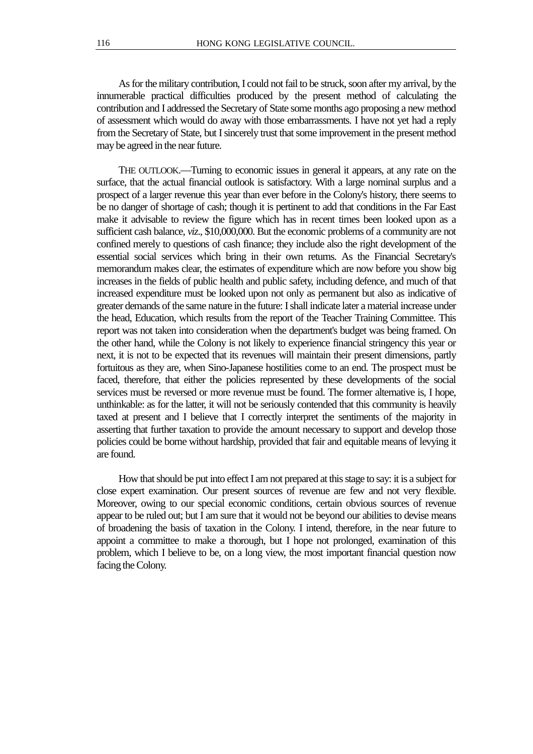As for the military contribution, I could not fail to be struck, soon after my arrival, by the innumerable practical difficulties produced by the present method of calculating the contribution and I addressed the Secretary of State some months ago proposing a new method of assessment which would do away with those embarrassments. I have not yet had a reply from the Secretary of State, but I sincerely trust that some improvement in the present method may be agreed in the near future.

THE OUTLOOK.—Turning to economic issues in general it appears, at any rate on the surface, that the actual financial outlook is satisfactory. With a large nominal surplus and a prospect of a larger revenue this year than ever before in the Colony's history, there seems to be no danger of shortage of cash; though it is pertinent to add that conditions in the Far East make it advisable to review the figure which has in recent times been looked upon as a sufficient cash balance, *viz*., \$10,000,000. But the economic problems of a community are not confined merely to questions of cash finance; they include also the right development of the essential social services which bring in their own returns. As the Financial Secretary's memorandum makes clear, the estimates of expenditure which are now before you show big increases in the fields of public health and public safety, including defence, and much of that increased expenditure must be looked upon not only as permanent but also as indicative of greater demands of the same nature in the future: I shall indicate later a material increase under the head, Education, which results from the report of the Teacher Training Committee. This report was not taken into consideration when the department's budget was being framed. On the other hand, while the Colony is not likely to experience financial stringency this year or next, it is not to be expected that its revenues will maintain their present dimensions, partly fortuitous as they are, when Sino-Japanese hostilities come to an end. The prospect must be faced, therefore, that either the policies represented by these developments of the social services must be reversed or more revenue must be found. The former alternative is, I hope, unthinkable: as for the latter, it will not be seriously contended that this community is heavily taxed at present and I believe that I correctly interpret the sentiments of the majority in asserting that further taxation to provide the amount necessary to support and develop those policies could be borne without hardship, provided that fair and equitable means of levying it are found.

How that should be put into effect I am not prepared at this stage to say: it is a subject for close expert examination. Our present sources of revenue are few and not very flexible. Moreover, owing to our special economic conditions, certain obvious sources of revenue appear to be ruled out; but I am sure that it would not be beyond our abilities to devise means of broadening the basis of taxation in the Colony. I intend, therefore, in the near future to appoint a committee to make a thorough, but I hope not prolonged, examination of this problem, which I believe to be, on a long view, the most important financial question now facing the Colony.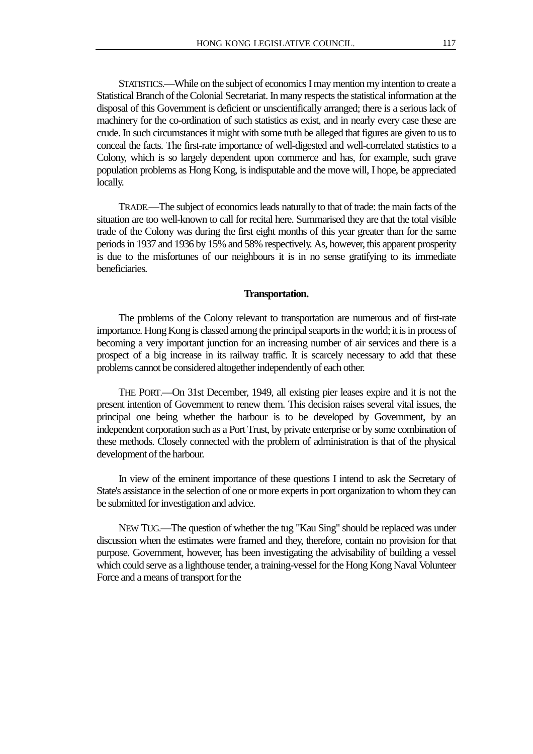STATISTICS.—While on the subject of economics I may mention my intention to create a Statistical Branch of the Colonial Secretariat. In many respects the statistical information at the disposal of this Government is deficient or unscientifically arranged; there is a serious lack of machinery for the co-ordination of such statistics as exist, and in nearly every case these are crude. In such circumstances it might with some truth be alleged that figures are given to us to conceal the facts. The first-rate importance of well-digested and well-correlated statistics to a Colony, which is so largely dependent upon commerce and has, for example, such grave population problems as Hong Kong, is indisputable and the move will, I hope, be appreciated locally.

TRADE.—The subject of economics leads naturally to that of trade: the main facts of the situation are too well-known to call for recital here. Summarised they are that the total visible trade of the Colony was during the first eight months of this year greater than for the same periods in 1937 and 1936 by 15% and 58% respectively. As, however, this apparent prosperity is due to the misfortunes of our neighbours it is in no sense gratifying to its immediate beneficiaries.

#### **Transportation.**

The problems of the Colony relevant to transportation are numerous and of first-rate importance. Hong Kong is classed among the principal seaports in the world; it is in process of becoming a very important junction for an increasing number of air services and there is a prospect of a big increase in its railway traffic. It is scarcely necessary to add that these problems cannot be considered altogether independently of each other.

THE PORT.—On 31st December, 1949, all existing pier leases expire and it is not the present intention of Government to renew them. This decision raises several vital issues, the principal one being whether the harbour is to be developed by Government, by an independent corporation such as a Port Trust, by private enterprise or by some combination of these methods. Closely connected with the problem of administration is that of the physical development of the harbour.

In view of the eminent importance of these questions I intend to ask the Secretary of State's assistance in the selection of one or more experts in port organization to whom they can be submitted for investigation and advice.

NEW TUG.—The question of whether the tug "Kau Sing" should be replaced was under discussion when the estimates were framed and they, therefore, contain no provision for that purpose. Government, however, has been investigating the advisability of building a vessel which could serve as a lighthouse tender, a training-vessel for the Hong Kong Naval Volunteer Force and a means of transport for the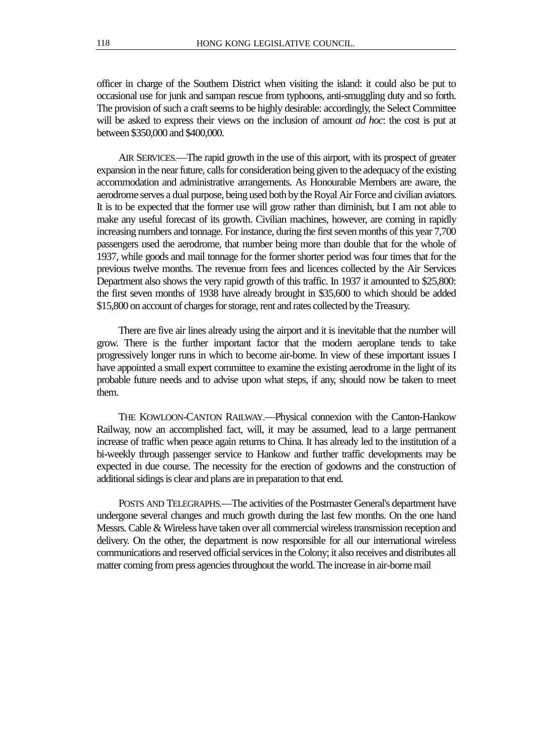officer in charge of the Southern District when visiting the island: it could also be put to occasional use for junk and sampan rescue from typhoons, anti-smuggling duty and so forth. The provision of such a craft seems to be highly desirable: accordingly, the Select Committee will be asked to express their views on the inclusion of amount *ad hoc*: the cost is put at between \$350,000 and \$400,000.

AIR SERVICES.—The rapid growth in the use of this airport, with its prospect of greater expansion in the near future, calls for consideration being given to the adequacy of the existing accommodation and administrative arrangements. As Honourable Members are aware, the aerodrome serves a dual purpose, being used both by the Royal Air Force and civilian aviators. It is to be expected that the former use will grow rather than diminish, but I am not able to make any useful forecast of its growth. Civilian machines, however, are coming in rapidly increasing numbers and tonnage. For instance, during the first seven months of this year 7,700 passengers used the aerodrome, that number being more than double that for the whole of 1937, while goods and mail tonnage for the former shorter period was four times that for the previous twelve months. The revenue from fees and licences collected by the Air Services Department also shows the very rapid growth of this traffic. In 1937 it amounted to \$25,800: the first seven months of 1938 have already brought in \$35,600 to which should be added \$15,800 on account of charges for storage, rent and rates collected by the Treasury.

There are five air lines already using the airport and it is inevitable that the number will grow. There is the further important factor that the modern aeroplane tends to take progressively longer runs in which to become air-borne. In view of these important issues I have appointed a small expert committee to examine the existing aerodrome in the light of its probable future needs and to advise upon what steps, if any, should now be taken to meet them.

THE KOWLOON-CANTON RAILWAY.—Physical connexion with the Canton-Hankow Railway, now an accomplished fact, will, it may be assumed, lead to a large permanent increase of traffic when peace again returns to China. It has already led to the institution of a bi-weekly through passenger service to Hankow and further traffic developments may be expected in due course. The necessity for the erection of godowns and the construction of additional sidings is clear and plans are in preparation to that end.

POSTS AND TELEGRAPHS.—The activities of the Postmaster General's department have undergone several changes and much growth during the last few months. On the one hand Messrs. Cable & Wireless have taken over all commercial wireless transmission reception and delivery. On the other, the department is now responsible for all our international wireless communications and reserved official services in the Colony; it also receives and distributes all matter coming from press agencies throughout the world. The increase in air-borne mail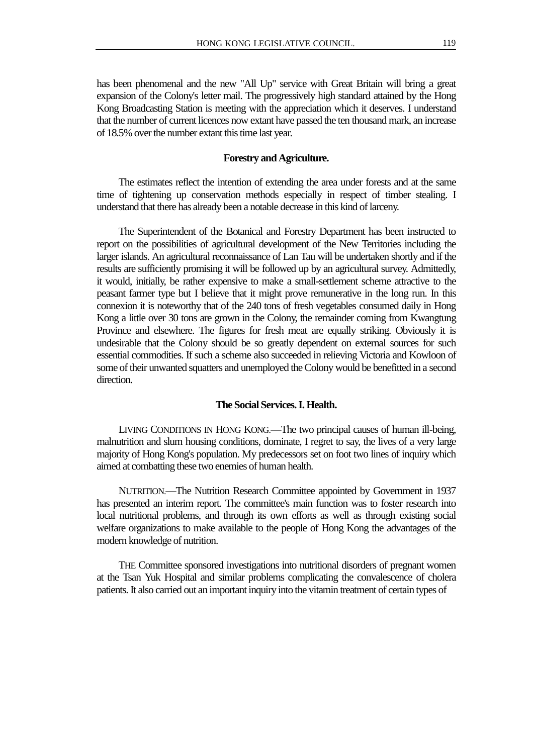has been phenomenal and the new "All Up" service with Great Britain will bring a great expansion of the Colony's letter mail. The progressively high standard attained by the Hong Kong Broadcasting Station is meeting with the appreciation which it deserves. I understand that the number of current licences now extant have passed the ten thousand mark, an increase of 18.5% over the number extant this time last year.

#### **Forestry and Agriculture.**

The estimates reflect the intention of extending the area under forests and at the same time of tightening up conservation methods especially in respect of timber stealing. I understand that there has already been a notable decrease in this kind of larceny.

The Superintendent of the Botanical and Forestry Department has been instructed to report on the possibilities of agricultural development of the New Territories including the larger islands. An agricultural reconnaissance of Lan Tau will be undertaken shortly and if the results are sufficiently promising it will be followed up by an agricultural survey. Admittedly, it would, initially, be rather expensive to make a small-settlement scheme attractive to the peasant farmer type but I believe that it might prove remunerative in the long run. In this connexion it is noteworthy that of the 240 tons of fresh vegetables consumed daily in Hong Kong a little over 30 tons are grown in the Colony, the remainder coming from Kwangtung Province and elsewhere. The figures for fresh meat are equally striking. Obviously it is undesirable that the Colony should be so greatly dependent on external sources for such essential commodities. If such a scheme also succeeded in relieving Victoria and Kowloon of some of their unwanted squatters and unemployed the Colony would be benefitted in a second direction.

## **The Social Services. I. Health.**

LIVING CONDITIONS IN HONG KONG.—The two principal causes of human ill-being, malnutrition and slum housing conditions, dominate, I regret to say, the lives of a very large majority of Hong Kong's population. My predecessors set on foot two lines of inquiry which aimed at combatting these two enemies of human health.

NUTRITION.—The Nutrition Research Committee appointed by Government in 1937 has presented an interim report. The committee's main function was to foster research into local nutritional problems, and through its own efforts as well as through existing social welfare organizations to make available to the people of Hong Kong the advantages of the modern knowledge of nutrition.

THE Committee sponsored investigations into nutritional disorders of pregnant women at the Tsan Yuk Hospital and similar problems complicating the convalescence of cholera patients. It also carried out an important inquiry into the vitamin treatment of certain types of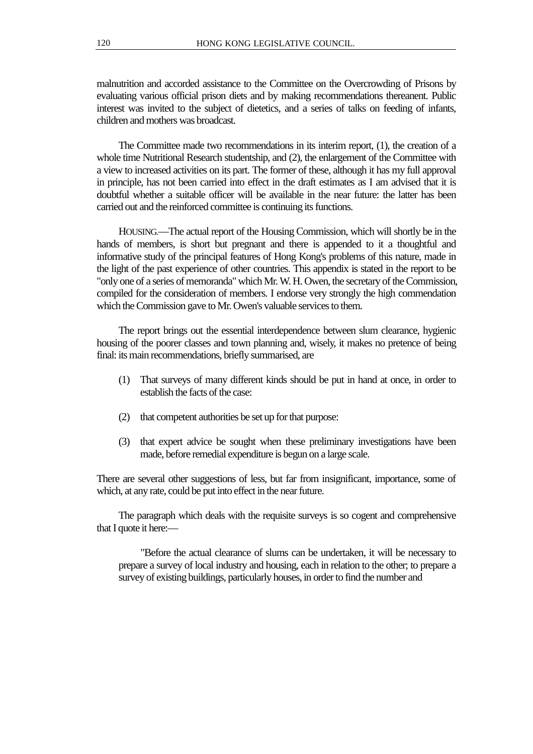malnutrition and accorded assistance to the Committee on the Overcrowding of Prisons by evaluating various official prison diets and by making recommendations thereanent. Public interest was invited to the subject of dietetics, and a series of talks on feeding of infants, children and mothers was broadcast.

The Committee made two recommendations in its interim report, (1), the creation of a whole time Nutritional Research studentship, and (2), the enlargement of the Committee with a view to increased activities on its part. The former of these, although it has my full approval in principle, has not been carried into effect in the draft estimates as I am advised that it is doubtful whether a suitable officer will be available in the near future: the latter has been carried out and the reinforced committee is continuing its functions.

HOUSING.—The actual report of the Housing Commission, which will shortly be in the hands of members, is short but pregnant and there is appended to it a thoughtful and informative study of the principal features of Hong Kong's problems of this nature, made in the light of the past experience of other countries. This appendix is stated in the report to be "only one of a series of memoranda" which Mr. W. H. Owen, the secretary of the Commission, compiled for the consideration of members. I endorse very strongly the high commendation which the Commission gave to Mr. Owen's valuable services to them.

The report brings out the essential interdependence between slum clearance, hygienic housing of the poorer classes and town planning and, wisely, it makes no pretence of being final: its main recommendations, briefly summarised, are

- (1) That surveys of many different kinds should be put in hand at once, in order to establish the facts of the case:
- (2) that competent authorities be set up for that purpose:
- (3) that expert advice be sought when these preliminary investigations have been made, before remedial expenditure is begun on a large scale.

There are several other suggestions of less, but far from insignificant, importance, some of which, at any rate, could be put into effect in the near future.

The paragraph which deals with the requisite surveys is so cogent and comprehensive that I quote it here:—

"Before the actual clearance of slums can be undertaken, it will be necessary to prepare a survey of local industry and housing, each in relation to the other; to prepare a survey of existing buildings, particularly houses, in order to find the number and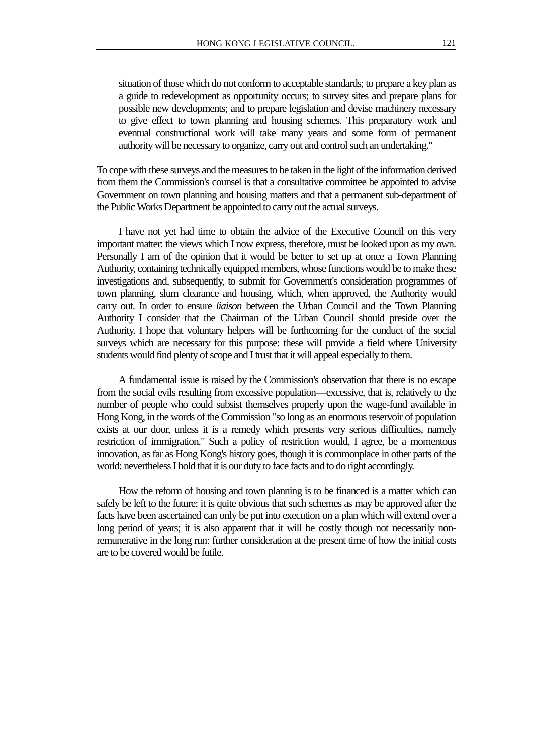situation of those which do not conform to acceptable standards; to prepare a key plan as a guide to redevelopment as opportunity occurs; to survey sites and prepare plans for possible new developments; and to prepare legislation and devise machinery necessary to give effect to town planning and housing schemes. This preparatory work and eventual constructional work will take many years and some form of permanent authority will be necessary to organize, carry out and control such an undertaking."

To cope with these surveys and the measures to be taken in the light of the information derived from them the Commission's counsel is that a consultative committee be appointed to advise Government on town planning and housing matters and that a permanent sub-department of the Public Works Department be appointed to carry out the actual surveys.

I have not yet had time to obtain the advice of the Executive Council on this very important matter: the views which I now express, therefore, must be looked upon as my own. Personally I am of the opinion that it would be better to set up at once a Town Planning Authority, containing technically equipped members, whose functions would be to make these investigations and, subsequently, to submit for Government's consideration programmes of town planning, slum clearance and housing, which, when approved, the Authority would carry out. In order to ensure *liaison* between the Urban Council and the Town Planning Authority I consider that the Chairman of the Urban Council should preside over the Authority. I hope that voluntary helpers will be forthcoming for the conduct of the social surveys which are necessary for this purpose: these will provide a field where University students would find plenty of scope and I trust that it will appeal especially to them.

A fundamental issue is raised by the Commission's observation that there is no escape from the social evils resulting from excessive population—excessive, that is, relatively to the number of people who could subsist themselves properly upon the wage-fund available in Hong Kong, in the words of the Commission "so long as an enormous reservoir of population exists at our door, unless it is a remedy which presents very serious difficulties, namely restriction of immigration." Such a policy of restriction would, I agree, be a momentous innovation, as far as Hong Kong's history goes, though it is commonplace in other parts of the world: nevertheless I hold that it is our duty to face facts and to do right accordingly.

How the reform of housing and town planning is to be financed is a matter which can safely be left to the future: it is quite obvious that such schemes as may be approved after the facts have been ascertained can only be put into execution on a plan which will extend over a long period of years; it is also apparent that it will be costly though not necessarily nonremunerative in the long run: further consideration at the present time of how the initial costs are to be covered would be futile.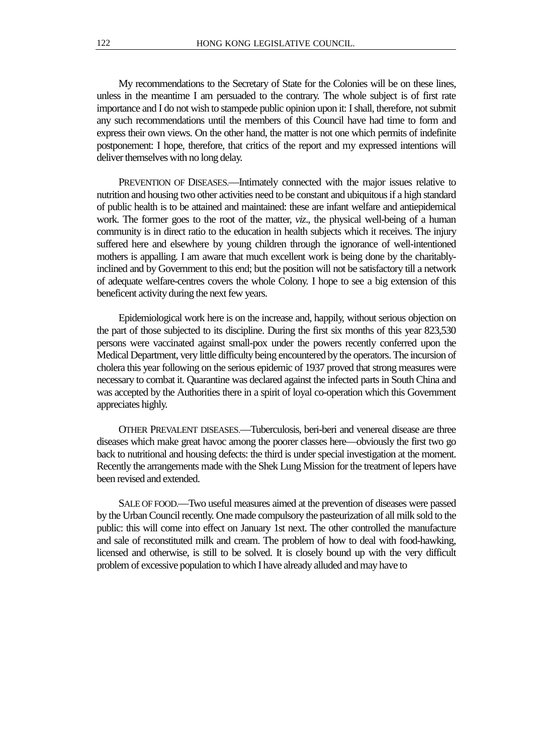My recommendations to the Secretary of State for the Colonies will be on these lines, unless in the meantime I am persuaded to the contrary. The whole subject is of first rate importance and I do not wish to stampede public opinion upon it: I shall, therefore, not submit any such recommendations until the members of this Council have had time to form and express their own views. On the other hand, the matter is not one which permits of indefinite postponement: I hope, therefore, that critics of the report and my expressed intentions will deliver themselves with no long delay.

PREVENTION OF DISEASES.—Intimately connected with the major issues relative to nutrition and housing two other activities need to be constant and ubiquitous if a high standard of public health is to be attained and maintained: these are infant welfare and antiepidemical work. The former goes to the root of the matter, *viz*., the physical well-being of a human community is in direct ratio to the education in health subjects which it receives. The injury suffered here and elsewhere by young children through the ignorance of well-intentioned mothers is appalling. I am aware that much excellent work is being done by the charitablyinclined and by Government to this end; but the position will not be satisfactory till a network of adequate welfare-centres covers the whole Colony. I hope to see a big extension of this beneficent activity during the next few years.

Epidemiological work here is on the increase and, happily, without serious objection on the part of those subjected to its discipline. During the first six months of this year 823,530 persons were vaccinated against small-pox under the powers recently conferred upon the Medical Department, very little difficulty being encountered by the operators. The incursion of cholera this year following on the serious epidemic of 1937 proved that strong measures were necessary to combat it. Quarantine was declared against the infected parts in South China and was accepted by the Authorities there in a spirit of loyal co-operation which this Government appreciates highly.

OTHER PREVALENT DISEASES.—Tuberculosis, beri-beri and venereal disease are three diseases which make great havoc among the poorer classes here—obviously the first two go back to nutritional and housing defects: the third is under special investigation at the moment. Recently the arrangements made with the Shek Lung Mission for the treatment of lepers have been revised and extended.

SALE OF FOOD.—Two useful measures aimed at the prevention of diseases were passed by the Urban Council recently. One made compulsory the pasteurization of all milk sold to the public: this will come into effect on January 1st next. The other controlled the manufacture and sale of reconstituted milk and cream. The problem of how to deal with food-hawking, licensed and otherwise, is still to be solved. It is closely bound up with the very difficult problem of excessive population to which I have already alluded and may have to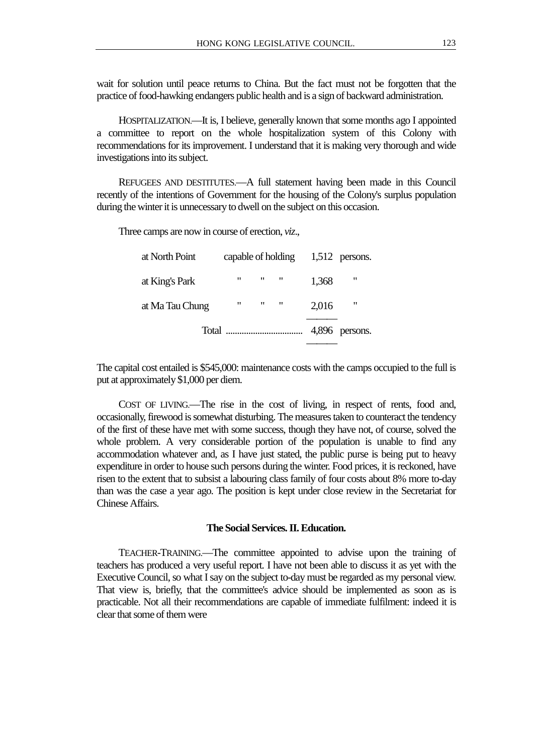wait for solution until peace returns to China. But the fact must not be forgotten that the practice of food-hawking endangers public health and is a sign of backward administration.

HOSPITALIZATION.—It is, I believe, generally known that some months ago I appointed a committee to report on the whole hospitalization system of this Colony with recommendations for its improvement. I understand that it is making very thorough and wide investigations into its subject.

REFUGEES AND DESTITUTES.—A full statement having been made in this Council recently of the intentions of Government for the housing of the Colony's surplus population during the winter it is unnecessary to dwell on the subject on this occasion.

Three camps are now in course of erection, *viz*.,

| at North Point  |                               |                                            |       | capable of holding $1,512$ persons. |
|-----------------|-------------------------------|--------------------------------------------|-------|-------------------------------------|
| at King's Park  | $\mathbf{H}$ and $\mathbf{H}$ | $\mathbf{H}$ $\mathbf{H}$                  | 1,368 | "                                   |
| at Ma Tau Chung |                               | $\mathbf{u}$ , $\mathbf{u}$ , $\mathbf{u}$ | 2,016 | "                                   |
|                 |                               |                                            |       | 4,896 persons.                      |
|                 |                               |                                            |       |                                     |

The capital cost entailed is \$545,000: maintenance costs with the camps occupied to the full is put at approximately \$1,000 per diem.

COST OF LIVING.—The rise in the cost of living, in respect of rents, food and, occasionally, firewood is somewhat disturbing. The measures taken to counteract the tendency of the first of these have met with some success, though they have not, of course, solved the whole problem. A very considerable portion of the population is unable to find any accommodation whatever and, as I have just stated, the public purse is being put to heavy expenditure in order to house such persons during the winter. Food prices, it is reckoned, have risen to the extent that to subsist a labouring class family of four costs about 8% more to-day than was the case a year ago. The position is kept under close review in the Secretariat for Chinese Affairs.

## **The Social Services. II. Education.**

TEACHER-TRAINING.—The committee appointed to advise upon the training of teachers has produced a very useful report. I have not been able to discuss it as yet with the Executive Council, so what I say on the subject to-day must be regarded as my personal view. That view is, briefly, that the committee's advice should be implemented as soon as is practicable. Not all their recommendations are capable of immediate fulfilment: indeed it is clear that some of them were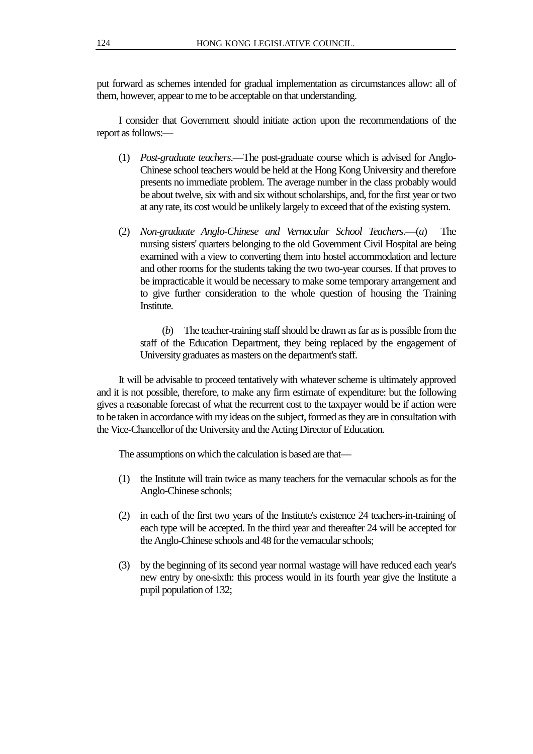put forward as schemes intended for gradual implementation as circumstances allow: all of them, however, appear to me to be acceptable on that understanding.

I consider that Government should initiate action upon the recommendations of the report as follows:—

- (1) *Post-graduate teachers*.—The post-graduate course which is advised for Anglo-Chinese school teachers would be held at the Hong Kong University and therefore presents no immediate problem. The average number in the class probably would be about twelve, six with and six without scholarships, and, for the first year or two at any rate, its cost would be unlikely largely to exceed that of the existing system.
- (2) *Non-graduate Anglo-Chinese and Vernacular School Teachers*.—(*a*) The nursing sisters' quarters belonging to the old Government Civil Hospital are being examined with a view to converting them into hostel accommodation and lecture and other rooms for the students taking the two two-year courses. If that proves to be impracticable it would be necessary to make some temporary arrangement and to give further consideration to the whole question of housing the Training Institute.

(*b*) The teacher-training staff should be drawn as far as is possible from the staff of the Education Department, they being replaced by the engagement of University graduates as masters on the department's staff.

It will be advisable to proceed tentatively with whatever scheme is ultimately approved and it is not possible, therefore, to make any firm estimate of expenditure: but the following gives a reasonable forecast of what the recurrent cost to the taxpayer would be if action were to be taken in accordance with my ideas on the subject, formed as they are in consultation with the Vice-Chancellor of the University and the Acting Director of Education.

The assumptions on which the calculation is based are that—

- (1) the Institute will train twice as many teachers for the vernacular schools as for the Anglo-Chinese schools;
- (2) in each of the first two years of the Institute's existence 24 teachers-in-training of each type will be accepted. In the third year and thereafter 24 will be accepted for the Anglo-Chinese schools and 48 for the vernacular schools;
- (3) by the beginning of its second year normal wastage will have reduced each year's new entry by one-sixth: this process would in its fourth year give the Institute a pupil population of 132;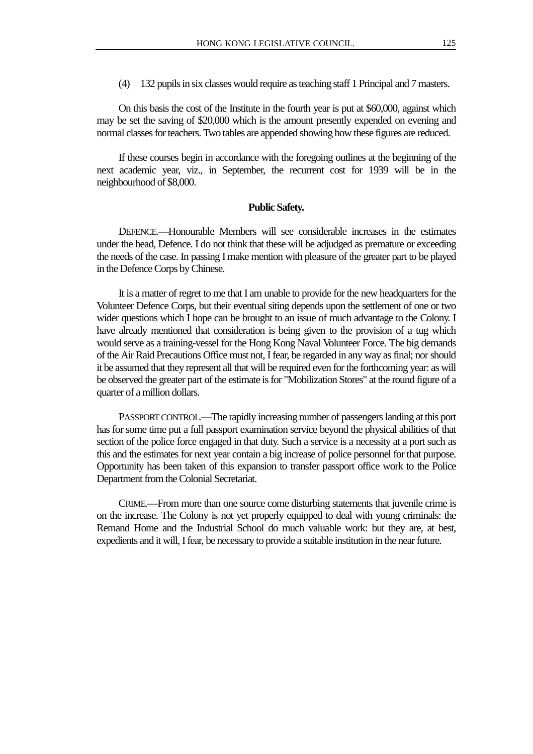(4) 132 pupils in six classes would require as teaching staff 1 Principal and 7 masters.

On this basis the cost of the Institute in the fourth year is put at \$60,000, against which may be set the saving of \$20,000 which is the amount presently expended on evening and normal classes for teachers. Two tables are appended showing how these figures are reduced.

If these courses begin in accordance with the foregoing outlines at the beginning of the next academic year, viz., in September, the recurrent cost for 1939 will be in the neighbourhood of \$8,000.

#### **Public Safety.**

DEFENCE.—Honourable Members will see considerable increases in the estimates under the head, Defence. I do not think that these will be adjudged as premature or exceeding the needs of the case. In passing I make mention with pleasure of the greater part to be played in the Defence Corps by Chinese.

It is a matter of regret to me that I am unable to provide for the new headquarters for the Volunteer Defence Corps, but their eventual siting depends upon the settlement of one or two wider questions which I hope can be brought to an issue of much advantage to the Colony. I have already mentioned that consideration is being given to the provision of a tug which would serve as a training-vessel for the Hong Kong Naval Volunteer Force. The big demands of the Air Raid Precautions Office must not, I fear, be regarded in any way as final; nor should it be assumed that they represent all that will be required even for the forthcoming year: as will be observed the greater part of the estimate is for "Mobilization Stores" at the round figure of a quarter of a million dollars.

PASSPORT CONTROL.—The rapidly increasing number of passengers landing at this port has for some time put a full passport examination service beyond the physical abilities of that section of the police force engaged in that duty. Such a service is a necessity at a port such as this and the estimates for next year contain a big increase of police personnel for that purpose. Opportunity has been taken of this expansion to transfer passport office work to the Police Department from the Colonial Secretariat.

CRIME.—From more than one source come disturbing statements that juvenile crime is on the increase. The Colony is not yet properly equipped to deal with young criminals: the Remand Home and the Industrial School do much valuable work: but they are, at best, expedients and it will, I fear, be necessary to provide a suitable institution in the near future.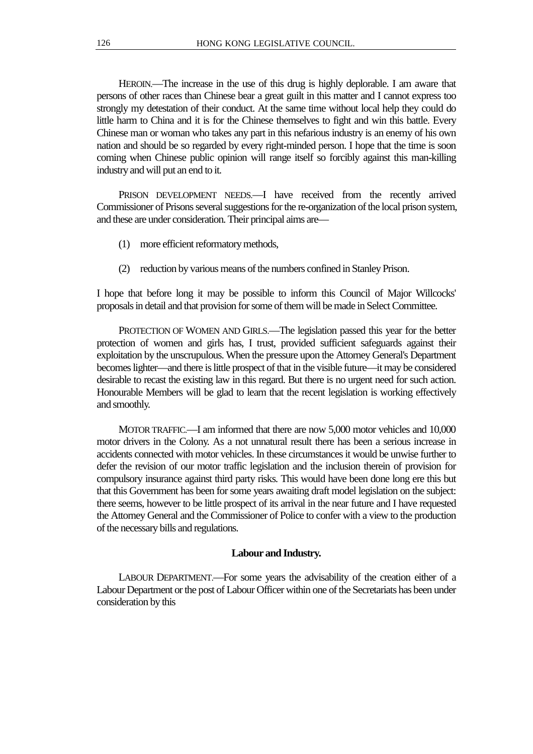HEROIN.—The increase in the use of this drug is highly deplorable. I am aware that persons of other races than Chinese bear a great guilt in this matter and I cannot express too strongly my detestation of their conduct. At the same time without local help they could do little harm to China and it is for the Chinese themselves to fight and win this battle. Every Chinese man or woman who takes any part in this nefarious industry is an enemy of his own nation and should be so regarded by every right-minded person. I hope that the time is soon coming when Chinese public opinion will range itself so forcibly against this man-killing industry and will put an end to it.

PRISON DEVELOPMENT NEEDS.—I have received from the recently arrived Commissioner of Prisons several suggestions for the re-organization of the local prison system, and these are under consideration. Their principal aims are—

- (1) more efficient reformatory methods,
- (2) reduction by various means of the numbers confined in Stanley Prison.

I hope that before long it may be possible to inform this Council of Major Willcocks' proposals in detail and that provision for some of them will be made in Select Committee.

PROTECTION OF WOMEN AND GIRLS.—The legislation passed this year for the better protection of women and girls has, I trust, provided sufficient safeguards against their exploitation by the unscrupulous. When the pressure upon the Attorney General's Department becomes lighter—and there is little prospect of that in the visible future—it may be considered desirable to recast the existing law in this regard. But there is no urgent need for such action. Honourable Members will be glad to learn that the recent legislation is working effectively and smoothly.

MOTOR TRAFFIC.—I am informed that there are now 5,000 motor vehicles and 10,000 motor drivers in the Colony. As a not unnatural result there has been a serious increase in accidents connected with motor vehicles. In these circumstances it would be unwise further to defer the revision of our motor traffic legislation and the inclusion therein of provision for compulsory insurance against third party risks. This would have been done long ere this but that this Government has been for some years awaiting draft model legislation on the subject: there seems, however to be little prospect of its arrival in the near future and I have requested the Attorney General and the Commissioner of Police to confer with a view to the production of the necessary bills and regulations.

## **Labour and Industry.**

LABOUR DEPARTMENT.—For some years the advisability of the creation either of a Labour Department or the post of Labour Officer within one of the Secretariats has been under consideration by this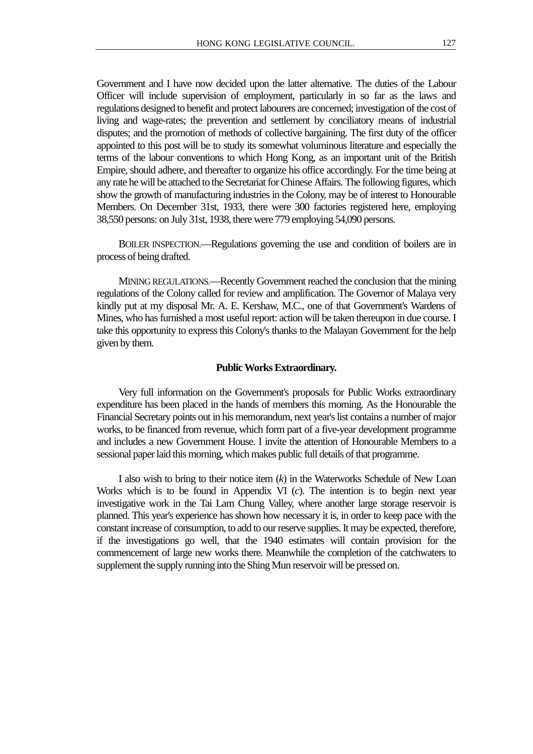Government and I have now decided upon the latter alternative. The duties of the Labour Officer will include supervision of employment, particularly in so far as the laws and regulations designed to benefit and protect labourers are concerned; investigation of the cost of living and wage-rates; the prevention and settlement by conciliatory means of industrial disputes; and the promotion of methods of collective bargaining. The first duty of the officer appointed to this post will be to study its somewhat voluminous literature and especially the terms of the labour conventions to which Hong Kong, as an important unit of the British Empire, should adhere, and thereafter to organize his office accordingly. For the time being at any rate he will be attached to the Secretariat for Chinese Affairs. The following figures, which show the growth of manufacturing industries in the Colony, may be of interest to Honourable Members. On December 31st, 1933, there were 300 factories registered here, employing 38,550 persons: on July 31st, 1938, there were 779 employing 54,090 persons.

BOILER INSPECTION.—Regulations governing the use and condition of boilers are in process of being drafted.

MINING REGULATIONS.—Recently Government reached the conclusion that the mining regulations of the Colony called for review and amplification. The Governor of Malaya very kindly put at my disposal Mr. A. E. Kershaw, M.C., one of that Government's Wardens of Mines, who has furnished a most useful report: action will be taken thereupon in due course. I take this opportunity to express this Colony's thanks to the Malayan Government for the help given by them.

#### **Public Works Extraordinary.**

Very full information on the Government's proposals for Public Works extraordinary expenditure has been placed in the hands of members this morning. As the Honourable the Financial Secretary points out in his memorandum, next year's list contains a number of major works, to be financed from revenue, which form part of a five-year development programme and includes a new Government House. I invite the attention of Honourable Members to a sessional paper laid this morning, which makes public full details of that programme.

I also wish to bring to their notice item (*k*) in the Waterworks Schedule of New Loan Works which is to be found in Appendix VI (*c*). The intention is to begin next year investigative work in the Tai Lam Chung Valley, where another large storage reservoir is planned. This year's experience has shown how necessary it is, in order to keep pace with the constant increase of consumption, to add to our reserve supplies. It may be expected, therefore, if the investigations go well, that the 1940 estimates will contain provision for the commencement of large new works there. Meanwhile the completion of the catchwaters to supplement the supply running into the Shing Mun reservoir will be pressed on.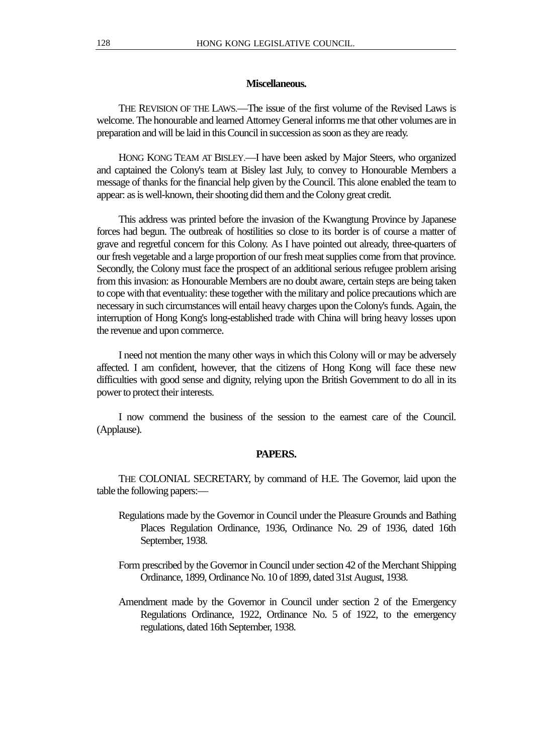## **Miscellaneous.**

THE REVISION OF THE LAWS.—The issue of the first volume of the Revised Laws is welcome. The honourable and learned Attorney General informs me that other volumes are in preparation and will be laid in this Council in succession as soon as they are ready.

HONG KONG TEAM AT BISLEY.—I have been asked by Major Steers, who organized and captained the Colony's team at Bisley last July, to convey to Honourable Members a message of thanks for the financial help given by the Council. This alone enabled the team to appear: as is well-known, their shooting did them and the Colony great credit.

This address was printed before the invasion of the Kwangtung Province by Japanese forces had begun. The outbreak of hostilities so close to its border is of course a matter of grave and regretful concern for this Colony. As I have pointed out already, three-quarters of our fresh vegetable and a large proportion of our fresh meat supplies come from that province. Secondly, the Colony must face the prospect of an additional serious refugee problem arising from this invasion: as Honourable Members are no doubt aware, certain steps are being taken to cope with that eventuality: these together with the military and police precautions which are necessary in such circumstances will entail heavy charges upon the Colony's funds. Again, the interruption of Hong Kong's long-established trade with China will bring heavy losses upon the revenue and upon commerce.

I need not mention the many other ways in which this Colony will or may be adversely affected. I am confident, however, that the citizens of Hong Kong will face these new difficulties with good sense and dignity, relying upon the British Government to do all in its power to protect their interests.

I now commend the business of the session to the earnest care of the Council. (Applause).

#### **PAPERS.**

THE COLONIAL SECRETARY, by command of H.E. The Governor, laid upon the table the following papers:—

- Regulations made by the Governor in Council under the Pleasure Grounds and Bathing Places Regulation Ordinance, 1936, Ordinance No. 29 of 1936, dated 16th September, 1938.
- Form prescribed by the Governor in Council under section 42 of the Merchant Shipping Ordinance, 1899, Ordinance No. 10 of 1899, dated 31st August, 1938.
- Amendment made by the Governor in Council under section 2 of the Emergency Regulations Ordinance, 1922, Ordinance No. 5 of 1922, to the emergency regulations, dated 16th September, 1938.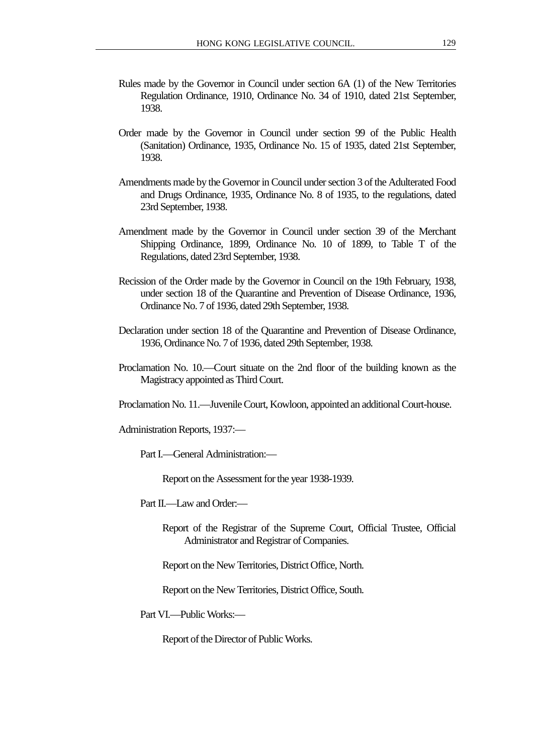- Rules made by the Governor in Council under section 6A (1) of the New Territories Regulation Ordinance, 1910, Ordinance No. 34 of 1910, dated 21st September, 1938.
- Order made by the Governor in Council under section 99 of the Public Health (Sanitation) Ordinance, 1935, Ordinance No. 15 of 1935, dated 21st September, 1938.
- Amendments made by the Governor in Council under section 3 of the Adulterated Food and Drugs Ordinance, 1935, Ordinance No. 8 of 1935, to the regulations, dated 23rd September, 1938.
- Amendment made by the Governor in Council under section 39 of the Merchant Shipping Ordinance, 1899, Ordinance No. 10 of 1899, to Table T of the Regulations, dated 23rd September, 1938.
- Recission of the Order made by the Governor in Council on the 19th February, 1938, under section 18 of the Quarantine and Prevention of Disease Ordinance, 1936, Ordinance No. 7 of 1936, dated 29th September, 1938.
- Declaration under section 18 of the Quarantine and Prevention of Disease Ordinance, 1936, Ordinance No. 7 of 1936, dated 29th September, 1938.
- Proclamation No. 10.—Court situate on the 2nd floor of the building known as the Magistracy appointed as Third Court.
- Proclamation No. 11.—Juvenile Court, Kowloon, appointed an additional Court-house.

Administration Reports, 1937:—

Part I.—General Administration:—

Report on the Assessment for the year 1938-1939.

Part II.—Law and Order:—

Report of the Registrar of the Supreme Court, Official Trustee, Official Administrator and Registrar of Companies.

Report on the New Territories, District Office, North.

Report on the New Territories, District Office, South.

Part VI.—Public Works:—

Report of the Director of Public Works.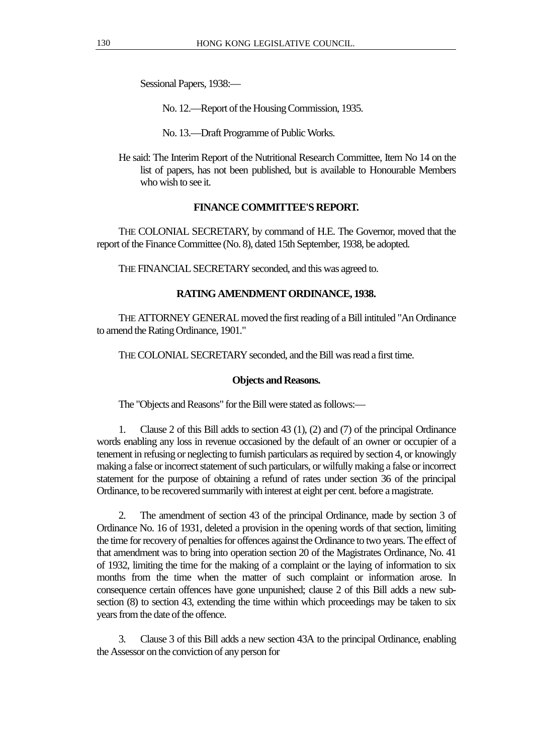Sessional Papers, 1938:—

No. 12.—Report of the Housing Commission, 1935.

No. 13.—Draft Programme of Public Works.

He said: The Interim Report of the Nutritional Research Committee, Item No 14 on the list of papers, has not been published, but is available to Honourable Members who wish to see it.

# **FINANCE COMMITTEE'S REPORT.**

THE COLONIAL SECRETARY, by command of H.E. The Governor, moved that the report of the Finance Committee (No. 8), dated 15th September, 1938, be adopted.

THE FINANCIAL SECRETARY seconded, and this was agreed to.

# **RATING AMENDMENT ORDINANCE, 1938.**

THE ATTORNEY GENERAL moved the first reading of a Bill intituled "An Ordinance to amend the Rating Ordinance, 1901."

THE COLONIAL SECRETARY seconded, and the Bill was read a first time.

## **Objects and Reasons.**

The "Objects and Reasons" for the Bill were stated as follows:—

1. Clause 2 of this Bill adds to section 43 (1), (2) and (7) of the principal Ordinance words enabling any loss in revenue occasioned by the default of an owner or occupier of a tenement in refusing or neglecting to furnish particulars as required by section 4, or knowingly making a false or incorrect statement of such particulars, or wilfully making a false or incorrect statement for the purpose of obtaining a refund of rates under section 36 of the principal Ordinance, to be recovered summarily with interest at eight per cent. before a magistrate.

2. The amendment of section 43 of the principal Ordinance, made by section 3 of Ordinance No. 16 of 1931, deleted a provision in the opening words of that section, limiting the time for recovery of penalties for offences against the Ordinance to two years. The effect of that amendment was to bring into operation section 20 of the Magistrates Ordinance, No. 41 of 1932, limiting the time for the making of a complaint or the laying of information to six months from the time when the matter of such complaint or information arose. In consequence certain offences have gone unpunished; clause 2 of this Bill adds a new subsection (8) to section 43, extending the time within which proceedings may be taken to six years from the date of the offence.

3. Clause 3 of this Bill adds a new section 43A to the principal Ordinance, enabling the Assessor on the conviction of any person for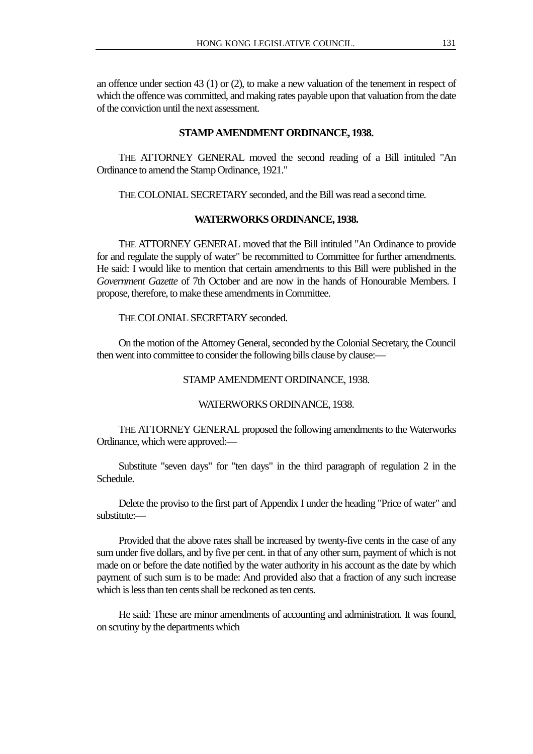an offence under section 43 (1) or (2), to make a new valuation of the tenement in respect of which the offence was committed, and making rates payable upon that valuation from the date of the conviction until the next assessment.

## **STAMP AMENDMENT ORDINANCE, 1938.**

THE ATTORNEY GENERAL moved the second reading of a Bill intituled "An Ordinance to amend the Stamp Ordinance, 1921."

THE COLONIAL SECRETARY seconded, and the Bill was read a second time.

## **WATERWORKS ORDINANCE, 1938.**

THE ATTORNEY GENERAL moved that the Bill intituled "An Ordinance to provide for and regulate the supply of water" be recommitted to Committee for further amendments. He said: I would like to mention that certain amendments to this Bill were published in the *Government Gazette* of 7th October and are now in the hands of Honourable Members. I propose, therefore, to make these amendments in Committee.

THE COLONIAL SECRETARY seconded.

On the motion of the Attorney General, seconded by the Colonial Secretary, the Council then went into committee to consider the following bills clause by clause:—

# STAMP AMENDMENT ORDINANCE, 1938.

#### WATERWORKS ORDINANCE, 1938.

THE ATTORNEY GENERAL proposed the following amendments to the Waterworks Ordinance, which were approved:—

Substitute "seven days" for "ten days" in the third paragraph of regulation 2 in the Schedule.

Delete the proviso to the first part of Appendix I under the heading "Price of water" and substitute:

Provided that the above rates shall be increased by twenty-five cents in the case of any sum under five dollars, and by five per cent. in that of any other sum, payment of which is not made on or before the date notified by the water authority in his account as the date by which payment of such sum is to be made: And provided also that a fraction of any such increase which is less than ten cents shall be reckoned as ten cents.

He said: These are minor amendments of accounting and administration. It was found, on scrutiny by the departments which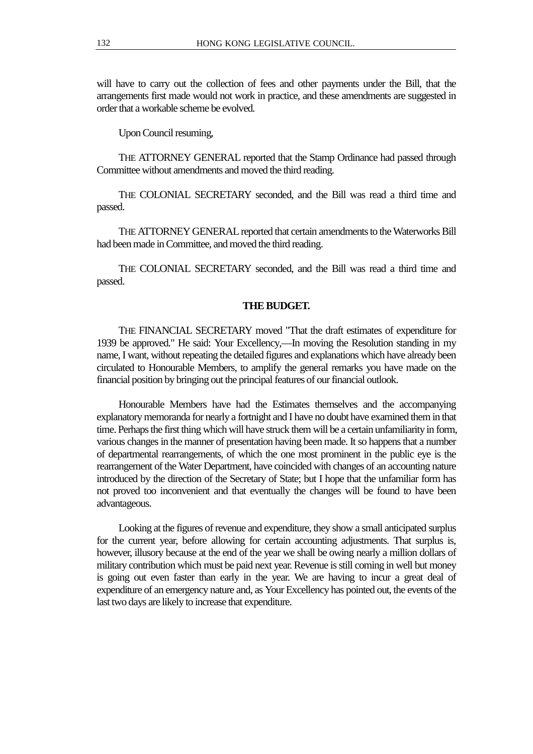will have to carry out the collection of fees and other payments under the Bill, that the arrangements first made would not work in practice, and these amendments are suggested in order that a workable scheme be evolved.

Upon Council resuming,

THE ATTORNEY GENERAL reported that the Stamp Ordinance had passed through Committee without amendments and moved the third reading.

THE COLONIAL SECRETARY seconded, and the Bill was read a third time and passed.

THE ATTORNEY GENERAL reported that certain amendments to the Waterworks Bill had been made in Committee, and moved the third reading.

THE COLONIAL SECRETARY seconded, and the Bill was read a third time and passed.

#### **THE BUDGET.**

THE FINANCIAL SECRETARY moved "That the draft estimates of expenditure for 1939 be approved." He said: Your Excellency,—In moving the Resolution standing in my name, I want, without repeating the detailed figures and explanations which have already been circulated to Honourable Members, to amplify the general remarks you have made on the financial position by bringing out the principal features of our financial outlook.

Honourable Members have had the Estimates themselves and the accompanying explanatory memoranda for nearly a fortnight and I have no doubt have examined them in that time. Perhaps the first thing which will have struck them will be a certain unfamiliarity in form, various changes in the manner of presentation having been made. It so happens that a number of departmental rearrangements, of which the one most prominent in the public eye is the rearrangement of the Water Department, have coincided with changes of an accounting nature introduced by the direction of the Secretary of State; but I hope that the unfamiliar form has not proved too inconvenient and that eventually the changes will be found to have been advantageous.

Looking at the figures of revenue and expenditure, they show a small anticipated surplus for the current year, before allowing for certain accounting adjustments. That surplus is, however, illusory because at the end of the year we shall be owing nearly a million dollars of military contribution which must be paid next year. Revenue is still coming in well but money is going out even faster than early in the year. We are having to incur a great deal of expenditure of an emergency nature and, as Your Excellency has pointed out, the events of the last two days are likely to increase that expenditure.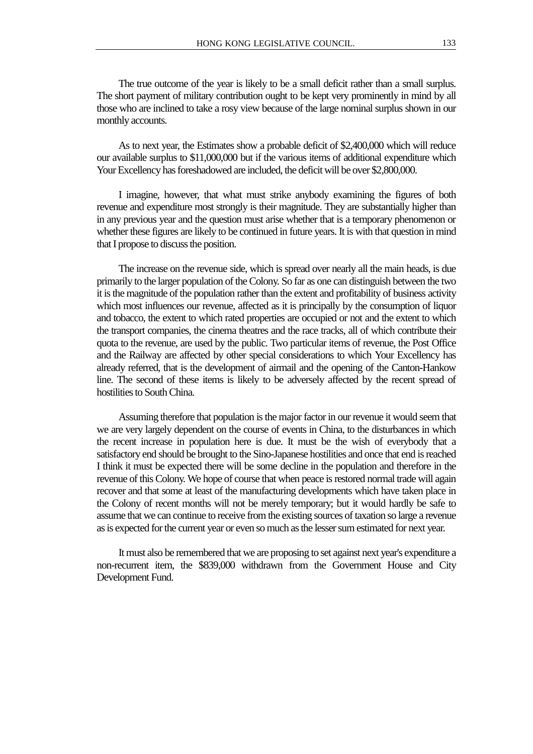The true outcome of the year is likely to be a small deficit rather than a small surplus. The short payment of military contribution ought to be kept very prominently in mind by all those who are inclined to take a rosy view because of the large nominal surplus shown in our monthly accounts.

As to next year, the Estimates show a probable deficit of \$2,400,000 which will reduce our available surplus to \$11,000,000 but if the various items of additional expenditure which Your Excellency has foreshadowed are included, the deficit will be over \$2,800,000.

I imagine, however, that what must strike anybody examining the figures of both revenue and expenditure most strongly is their magnitude. They are substantially higher than in any previous year and the question must arise whether that is a temporary phenomenon or whether these figures are likely to be continued in future years. It is with that question in mind that I propose to discuss the position.

The increase on the revenue side, which is spread over nearly all the main heads, is due primarily to the larger population of the Colony. So far as one can distinguish between the two it is the magnitude of the population rather than the extent and profitability of business activity which most influences our revenue, affected as it is principally by the consumption of liquor and tobacco, the extent to which rated properties are occupied or not and the extent to which the transport companies, the cinema theatres and the race tracks, all of which contribute their quota to the revenue, are used by the public. Two particular items of revenue, the Post Office and the Railway are affected by other special considerations to which Your Excellency has already referred, that is the development of airmail and the opening of the Canton-Hankow line. The second of these items is likely to be adversely affected by the recent spread of hostilities to South China.

Assuming therefore that population is the major factor in our revenue it would seem that we are very largely dependent on the course of events in China, to the disturbances in which the recent increase in population here is due. It must be the wish of everybody that a satisfactory end should be brought to the Sino-Japanese hostilities and once that end is reached I think it must be expected there will be some decline in the population and therefore in the revenue of this Colony. We hope of course that when peace is restored normal trade will again recover and that some at least of the manufacturing developments which have taken place in the Colony of recent months will not be merely temporary; but it would hardly be safe to assume that we can continue to receive from the existing sources of taxation so large a revenue as is expected for the current year or even so much as the lesser sum estimated for next year.

It must also be remembered that we are proposing to set against next year's expenditure a non-recurrent item, the \$839,000 withdrawn from the Government House and City Development Fund.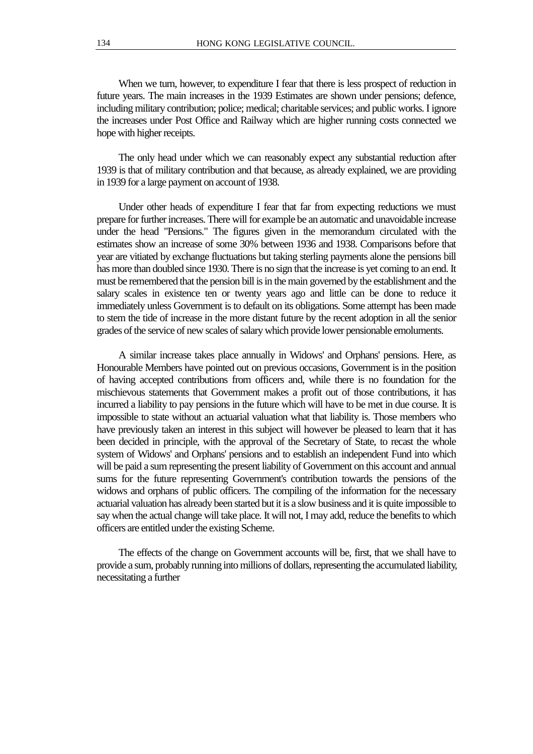When we turn, however, to expenditure I fear that there is less prospect of reduction in future years. The main increases in the 1939 Estimates are shown under pensions; defence, including military contribution; police; medical; charitable services; and public works. I ignore the increases under Post Office and Railway which are higher running costs connected we hope with higher receipts.

The only head under which we can reasonably expect any substantial reduction after 1939 is that of military contribution and that because, as already explained, we are providing in 1939 for a large payment on account of 1938.

Under other heads of expenditure I fear that far from expecting reductions we must prepare for further increases. There will for example be an automatic and unavoidable increase under the head "Pensions." The figures given in the memorandum circulated with the estimates show an increase of some 30% between 1936 and 1938. Comparisons before that year are vitiated by exchange fluctuations but taking sterling payments alone the pensions bill has more than doubled since 1930. There is no sign that the increase is yet coming to an end. It must be remembered that the pension bill is in the main governed by the establishment and the salary scales in existence ten or twenty years ago and little can be done to reduce it immediately unless Government is to default on its obligations. Some attempt has been made to stem the tide of increase in the more distant future by the recent adoption in all the senior grades of the service of new scales of salary which provide lower pensionable emoluments.

A similar increase takes place annually in Widows' and Orphans' pensions. Here, as Honourable Members have pointed out on previous occasions, Government is in the position of having accepted contributions from officers and, while there is no foundation for the mischievous statements that Government makes a profit out of those contributions, it has incurred a liability to pay pensions in the future which will have to be met in due course. It is impossible to state without an actuarial valuation what that liability is. Those members who have previously taken an interest in this subject will however be pleased to learn that it has been decided in principle, with the approval of the Secretary of State, to recast the whole system of Widows' and Orphans' pensions and to establish an independent Fund into which will be paid a sum representing the present liability of Government on this account and annual sums for the future representing Government's contribution towards the pensions of the widows and orphans of public officers. The compiling of the information for the necessary actuarial valuation has already been started but it is a slow business and it is quite impossible to say when the actual change will take place. It will not, I may add, reduce the benefits to which officers are entitled under the existing Scheme.

The effects of the change on Government accounts will be, first, that we shall have to provide a sum, probably running into millions of dollars, representing the accumulated liability, necessitating a further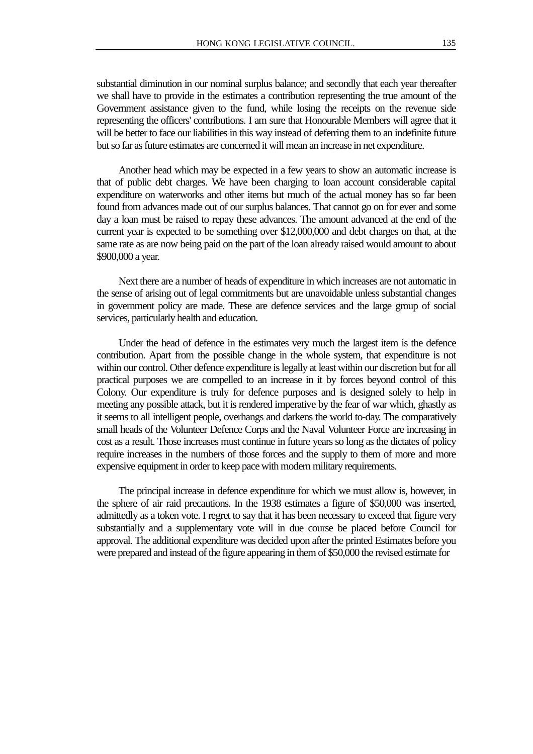substantial diminution in our nominal surplus balance; and secondly that each year thereafter we shall have to provide in the estimates a contribution representing the true amount of the Government assistance given to the fund, while losing the receipts on the revenue side representing the officers' contributions. I am sure that Honourable Members will agree that it will be better to face our liabilities in this way instead of deferring them to an indefinite future but so far as future estimates are concerned it will mean an increase in net expenditure.

Another head which may be expected in a few years to show an automatic increase is that of public debt charges. We have been charging to loan account considerable capital expenditure on waterworks and other items but much of the actual money has so far been found from advances made out of our surplus balances. That cannot go on for ever and some day a loan must be raised to repay these advances. The amount advanced at the end of the current year is expected to be something over \$12,000,000 and debt charges on that, at the same rate as are now being paid on the part of the loan already raised would amount to about \$900,000 a year.

Next there are a number of heads of expenditure in which increases are not automatic in the sense of arising out of legal commitments but are unavoidable unless substantial changes in government policy are made. These are defence services and the large group of social services, particularly health and education.

Under the head of defence in the estimates very much the largest item is the defence contribution. Apart from the possible change in the whole system, that expenditure is not within our control. Other defence expenditure is legally at least within our discretion but for all practical purposes we are compelled to an increase in it by forces beyond control of this Colony. Our expenditure is truly for defence purposes and is designed solely to help in meeting any possible attack, but it is rendered imperative by the fear of war which, ghastly as it seems to all intelligent people, overhangs and darkens the world to-day. The comparatively small heads of the Volunteer Defence Corps and the Naval Volunteer Force are increasing in cost as a result. Those increases must continue in future years so long as the dictates of policy require increases in the numbers of those forces and the supply to them of more and more expensive equipment in order to keep pace with modern military requirements.

The principal increase in defence expenditure for which we must allow is, however, in the sphere of air raid precautions. In the 1938 estimates a figure of \$50,000 was inserted, admittedly as a token vote. I regret to say that it has been necessary to exceed that figure very substantially and a supplementary vote will in due course be placed before Council for approval. The additional expenditure was decided upon after the printed Estimates before you were prepared and instead of the figure appearing in them of \$50,000 the revised estimate for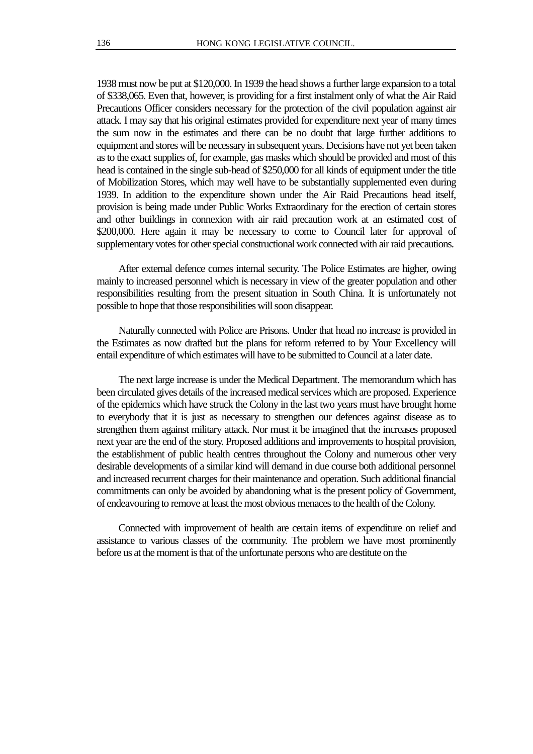1938 must now be put at \$120,000. In 1939 the head shows a further large expansion to a total of \$338,065. Even that, however, is providing for a first instalment only of what the Air Raid Precautions Officer considers necessary for the protection of the civil population against air attack. I may say that his original estimates provided for expenditure next year of many times the sum now in the estimates and there can be no doubt that large further additions to equipment and stores will be necessary in subsequent years. Decisions have not yet been taken as to the exact supplies of, for example, gas masks which should be provided and most of this head is contained in the single sub-head of \$250,000 for all kinds of equipment under the title of Mobilization Stores, which may well have to be substantially supplemented even during 1939. In addition to the expenditure shown under the Air Raid Precautions head itself, provision is being made under Public Works Extraordinary for the erection of certain stores and other buildings in connexion with air raid precaution work at an estimated cost of \$200,000. Here again it may be necessary to come to Council later for approval of supplementary votes for other special constructional work connected with air raid precautions.

After external defence comes internal security. The Police Estimates are higher, owing mainly to increased personnel which is necessary in view of the greater population and other responsibilities resulting from the present situation in South China. It is unfortunately not possible to hope that those responsibilities will soon disappear.

Naturally connected with Police are Prisons. Under that head no increase is provided in the Estimates as now drafted but the plans for reform referred to by Your Excellency will entail expenditure of which estimates will have to be submitted to Council at a later date.

The next large increase is under the Medical Department. The memorandum which has been circulated gives details of the increased medical services which are proposed. Experience of the epidemics which have struck the Colony in the last two years must have brought home to everybody that it is just as necessary to strengthen our defences against disease as to strengthen them against military attack. Nor must it be imagined that the increases proposed next year are the end of the story. Proposed additions and improvements to hospital provision, the establishment of public health centres throughout the Colony and numerous other very desirable developments of a similar kind will demand in due course both additional personnel and increased recurrent charges for their maintenance and operation. Such additional financial commitments can only be avoided by abandoning what is the present policy of Government, of endeavouring to remove at least the most obvious menaces to the health of the Colony.

Connected with improvement of health are certain items of expenditure on relief and assistance to various classes of the community. The problem we have most prominently before us at the moment is that of the unfortunate persons who are destitute on the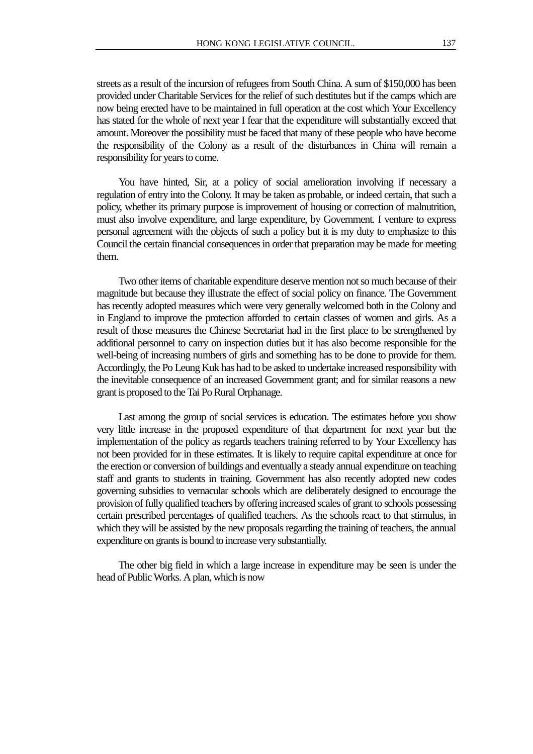streets as a result of the incursion of refugees from South China. A sum of \$150,000 has been provided under Charitable Services for the relief of such destitutes but if the camps which are now being erected have to be maintained in full operation at the cost which Your Excellency has stated for the whole of next year I fear that the expenditure will substantially exceed that amount. Moreover the possibility must be faced that many of these people who have become the responsibility of the Colony as a result of the disturbances in China will remain a responsibility for years to come.

You have hinted, Sir, at a policy of social amelioration involving if necessary a regulation of entry into the Colony. It may be taken as probable, or indeed certain, that such a policy, whether its primary purpose is improvement of housing or correction of malnutrition, must also involve expenditure, and large expenditure, by Government. I venture to express personal agreement with the objects of such a policy but it is my duty to emphasize to this Council the certain financial consequences in order that preparation may be made for meeting them.

Two other items of charitable expenditure deserve mention not so much because of their magnitude but because they illustrate the effect of social policy on finance. The Government has recently adopted measures which were very generally welcomed both in the Colony and in England to improve the protection afforded to certain classes of women and girls. As a result of those measures the Chinese Secretariat had in the first place to be strengthened by additional personnel to carry on inspection duties but it has also become responsible for the well-being of increasing numbers of girls and something has to be done to provide for them. Accordingly, the Po Leung Kuk has had to be asked to undertake increased responsibility with the inevitable consequence of an increased Government grant; and for similar reasons a new grant is proposed to the Tai Po Rural Orphanage.

Last among the group of social services is education. The estimates before you show very little increase in the proposed expenditure of that department for next year but the implementation of the policy as regards teachers training referred to by Your Excellency has not been provided for in these estimates. It is likely to require capital expenditure at once for the erection or conversion of buildings and eventually a steady annual expenditure on teaching staff and grants to students in training. Government has also recently adopted new codes governing subsidies to vernacular schools which are deliberately designed to encourage the provision of fully qualified teachers by offering increased scales of grant to schools possessing certain prescribed percentages of qualified teachers. As the schools react to that stimulus, in which they will be assisted by the new proposals regarding the training of teachers, the annual expenditure on grants is bound to increase very substantially.

The other big field in which a large increase in expenditure may be seen is under the head of Public Works. A plan, which is now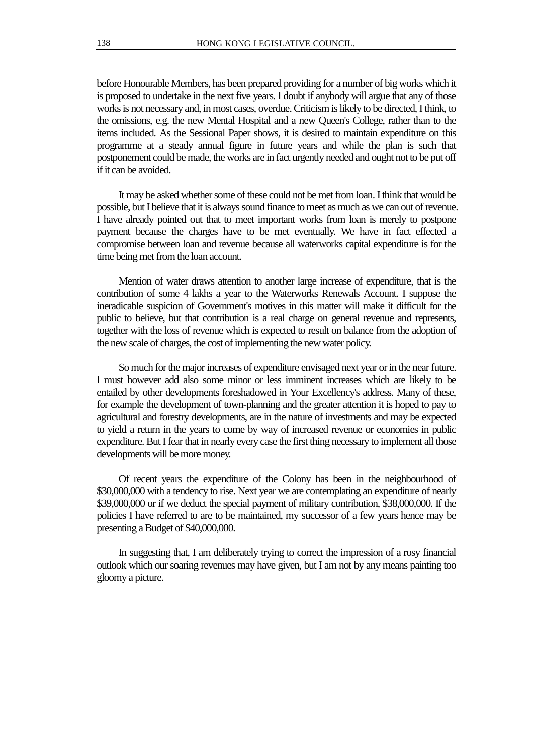before Honourable Members, has been prepared providing for a number of big works which it is proposed to undertake in the next five years. I doubt if anybody will argue that any of those works is not necessary and, in most cases, overdue. Criticism is likely to be directed, I think, to the omissions, e.g. the new Mental Hospital and a new Queen's College, rather than to the items included. As the Sessional Paper shows, it is desired to maintain expenditure on this programme at a steady annual figure in future years and while the plan is such that postponement could be made, the works are in fact urgently needed and ought not to be put off if it can be avoided.

It may be asked whether some of these could not be met from loan. I think that would be possible, but I believe that it is always sound finance to meet as much as we can out of revenue. I have already pointed out that to meet important works from loan is merely to postpone payment because the charges have to be met eventually. We have in fact effected a compromise between loan and revenue because all waterworks capital expenditure is for the time being met from the loan account.

Mention of water draws attention to another large increase of expenditure, that is the contribution of some 4 lakhs a year to the Waterworks Renewals Account. I suppose the ineradicable suspicion of Government's motives in this matter will make it difficult for the public to believe, but that contribution is a real charge on general revenue and represents, together with the loss of revenue which is expected to result on balance from the adoption of the new scale of charges, the cost of implementing the new water policy.

So much for the major increases of expenditure envisaged next year or in the near future. I must however add also some minor or less imminent increases which are likely to be entailed by other developments foreshadowed in Your Excellency's address. Many of these, for example the development of town-planning and the greater attention it is hoped to pay to agricultural and forestry developments, are in the nature of investments and may be expected to yield a return in the years to come by way of increased revenue or economies in public expenditure. But I fear that in nearly every case the first thing necessary to implement all those developments will be more money.

Of recent years the expenditure of the Colony has been in the neighbourhood of \$30,000,000 with a tendency to rise. Next year we are contemplating an expenditure of nearly \$39,000,000 or if we deduct the special payment of military contribution, \$38,000,000. If the policies I have referred to are to be maintained, my successor of a few years hence may be presenting a Budget of \$40,000,000.

In suggesting that, I am deliberately trying to correct the impression of a rosy financial outlook which our soaring revenues may have given, but I am not by any means painting too gloomy a picture.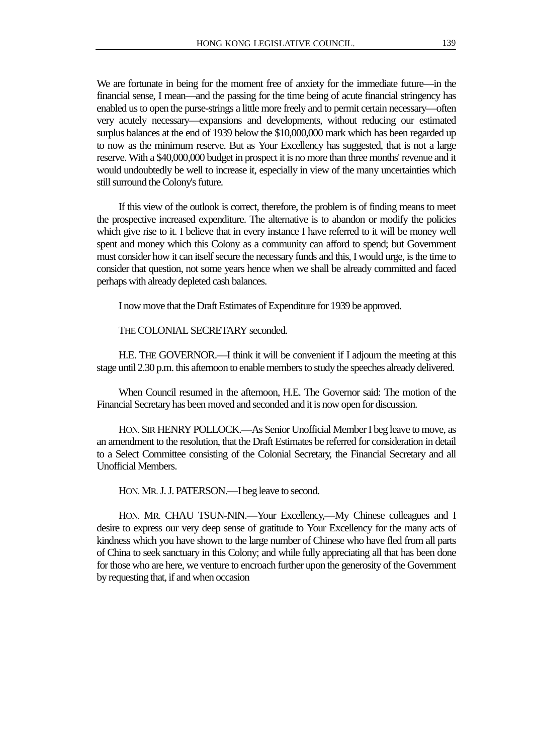We are fortunate in being for the moment free of anxiety for the immediate future—in the financial sense, I mean—and the passing for the time being of acute financial stringency has enabled us to open the purse-strings a little more freely and to permit certain necessary—often very acutely necessary—expansions and developments, without reducing our estimated surplus balances at the end of 1939 below the \$10,000,000 mark which has been regarded up to now as the minimum reserve. But as Your Excellency has suggested, that is not a large reserve. With a \$40,000,000 budget in prospect it is no more than three months' revenue and it would undoubtedly be well to increase it, especially in view of the many uncertainties which still surround the Colony's future.

If this view of the outlook is correct, therefore, the problem is of finding means to meet the prospective increased expenditure. The alternative is to abandon or modify the policies which give rise to it. I believe that in every instance I have referred to it will be money well spent and money which this Colony as a community can afford to spend; but Government must consider how it can itself secure the necessary funds and this, I would urge, is the time to consider that question, not some years hence when we shall be already committed and faced perhaps with already depleted cash balances.

I now move that the Draft Estimates of Expenditure for 1939 be approved.

THE COLONIAL SECRETARY seconded.

H.E. THE GOVERNOR.—I think it will be convenient if I adjourn the meeting at this stage until 2.30 p.m. this afternoon to enable members to study the speeches already delivered.

When Council resumed in the afternoon, H.E. The Governor said: The motion of the Financial Secretary has been moved and seconded and it is now open for discussion.

HON. SIR HENRY POLLOCK.—As Senior Unofficial Member I beg leave to move, as an amendment to the resolution, that the Draft Estimates be referred for consideration in detail to a Select Committee consisting of the Colonial Secretary, the Financial Secretary and all Unofficial Members.

HON. MR. J. J. PATERSON.—I beg leave to second.

HON. MR. CHAU TSUN-NIN.—Your Excellency,—My Chinese colleagues and I desire to express our very deep sense of gratitude to Your Excellency for the many acts of kindness which you have shown to the large number of Chinese who have fled from all parts of China to seek sanctuary in this Colony; and while fully appreciating all that has been done for those who are here, we venture to encroach further upon the generosity of the Government by requesting that, if and when occasion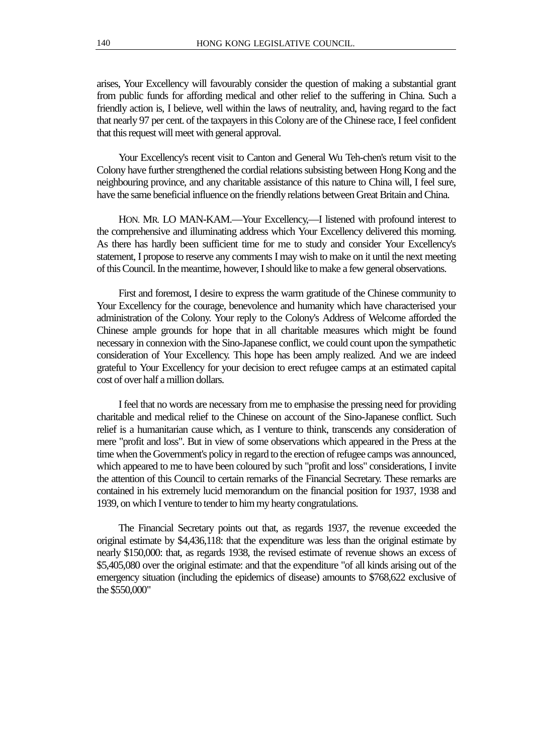arises, Your Excellency will favourably consider the question of making a substantial grant from public funds for affording medical and other relief to the suffering in China. Such a friendly action is, I believe, well within the laws of neutrality, and, having regard to the fact that nearly 97 per cent. of the taxpayers in this Colony are of the Chinese race, I feel confident that this request will meet with general approval.

Your Excellency's recent visit to Canton and General Wu Teh-chen's return visit to the Colony have further strengthened the cordial relations subsisting between Hong Kong and the neighbouring province, and any charitable assistance of this nature to China will, I feel sure, have the same beneficial influence on the friendly relations between Great Britain and China.

HON. MR. LO MAN-KAM.—Your Excellency,—I listened with profound interest to the comprehensive and illuminating address which Your Excellency delivered this morning. As there has hardly been sufficient time for me to study and consider Your Excellency's statement, I propose to reserve any comments I may wish to make on it until the next meeting of this Council. In the meantime, however, I should like to make a few general observations.

First and foremost, I desire to express the warm gratitude of the Chinese community to Your Excellency for the courage, benevolence and humanity which have characterised your administration of the Colony. Your reply to the Colony's Address of Welcome afforded the Chinese ample grounds for hope that in all charitable measures which might be found necessary in connexion with the Sino-Japanese conflict, we could count upon the sympathetic consideration of Your Excellency. This hope has been amply realized. And we are indeed grateful to Your Excellency for your decision to erect refugee camps at an estimated capital cost of over half a million dollars.

I feel that no words are necessary from me to emphasise the pressing need for providing charitable and medical relief to the Chinese on account of the Sino-Japanese conflict. Such relief is a humanitarian cause which, as I venture to think, transcends any consideration of mere "profit and loss". But in view of some observations which appeared in the Press at the time when the Government's policy in regard to the erection of refugee camps was announced, which appeared to me to have been coloured by such "profit and loss" considerations, I invite the attention of this Council to certain remarks of the Financial Secretary. These remarks are contained in his extremely lucid memorandum on the financial position for 1937, 1938 and 1939, on which I venture to tender to him my hearty congratulations.

The Financial Secretary points out that, as regards 1937, the revenue exceeded the original estimate by \$4,436,118: that the expenditure was less than the original estimate by nearly \$150,000: that, as regards 1938, the revised estimate of revenue shows an excess of \$5,405,080 over the original estimate: and that the expenditure "of all kinds arising out of the emergency situation (including the epidemics of disease) amounts to \$768,622 exclusive of the \$550,000"